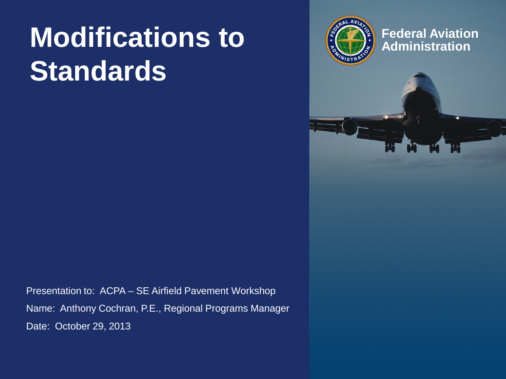# **Modifications to Standards**

Presentation to: ACPA – SE Airfield Pavement Workshop Name: Anthony Cochran, P.E., Regional Programs Manager Date: October 29, 2013



**Federal Aviation Administration**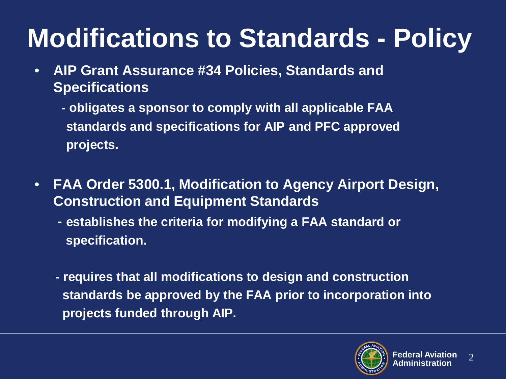# **Modifications to Standards - Policy**

- **AIP Grant Assurance #34 Policies, Standards and Specifications**
	- **- obligates a sponsor to comply with all applicable FAA standards and specifications for AIP and PFC approved projects.**
- **FAA Order 5300.1, Modification to Agency Airport Design, Construction and Equipment Standards**
	- **- establishes the criteria for modifying a FAA standard or specification.**
	- **- requires that all modifications to design and construction standards be approved by the FAA prior to incorporation into projects funded through AIP.**

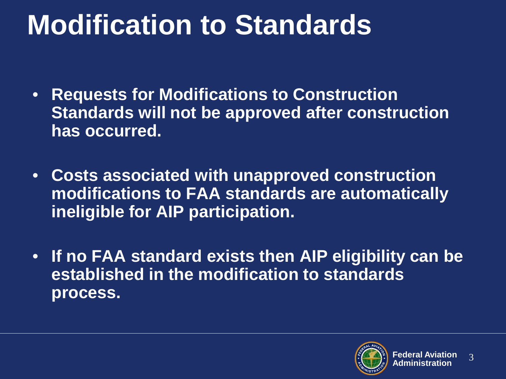# **Modification to Standards**

- **Requests for Modifications to Construction Standards will not be approved after construction has occurred.**
- **Costs associated with unapproved construction modifications to FAA standards are automatically ineligible for AIP participation.**
- **If no FAA standard exists then AIP eligibility can be established in the modification to standards process.**

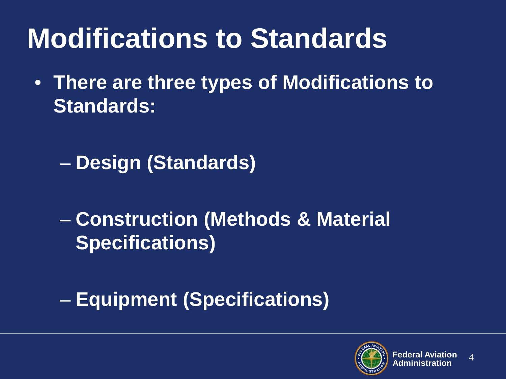# **Modifications to Standards**

- **There are three types of Modifications to Standards:**
	- **Design (Standards)**
	- **Construction (Methods & Material Specifications)**
	- **Equipment (Specifications)**

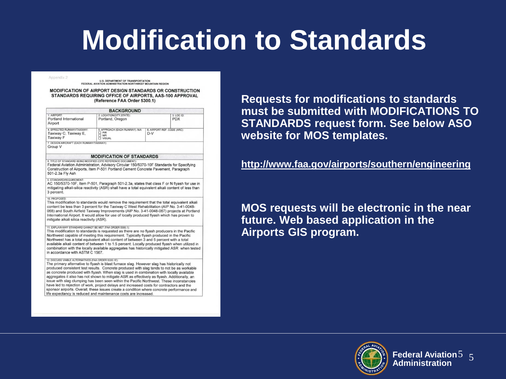# **Modification to Standards**

Appendix 2

#### **U.S. DEPARTMENT OF TRANSPORTATION** FEDERAL AVIATION ADMINISTRATION NORTHWEST MOUNTAIN REGION

MODIFICATION OF AIRPORT DESIGN STANDARDS OR CONSTRUCTION STANDARDS REQUIRING OFFICE OF AIRPORTS, AAS-100 APPROVAL (Reference FAA Order 5300.1)

|                                                                                               | <b>BACKGROUND</b>                                                                                                                                                                                                                                                                                                                                                                                                                                                                                                                                                                                                                                                                                                                            |  |                          |
|-----------------------------------------------------------------------------------------------|----------------------------------------------------------------------------------------------------------------------------------------------------------------------------------------------------------------------------------------------------------------------------------------------------------------------------------------------------------------------------------------------------------------------------------------------------------------------------------------------------------------------------------------------------------------------------------------------------------------------------------------------------------------------------------------------------------------------------------------------|--|--------------------------|
| 1. AIRPORT:<br>Portland International<br>Airport                                              | 2. LOCATION(CITY.STATE):<br>Portland, Oregon                                                                                                                                                                                                                                                                                                                                                                                                                                                                                                                                                                                                                                                                                                 |  | 3. LOC ID:<br><b>PDX</b> |
| 4. EFFECTED RUNWAY/TAXIWAY:<br>Taxiway C, Taxiway E,<br>Taxiway F                             | 5. APPROACH (EACH RUNWAY): N/A<br>6. AIRPORT REF. CODE (ARC):<br>D PIR<br>D NPI<br>D VISUAL<br>$D-V$                                                                                                                                                                                                                                                                                                                                                                                                                                                                                                                                                                                                                                         |  |                          |
| 7. DESIGN AIRCRAFT (EACH RUNWAY/TAXIWAY):<br>Group V                                          |                                                                                                                                                                                                                                                                                                                                                                                                                                                                                                                                                                                                                                                                                                                                              |  |                          |
|                                                                                               | <b>MODIFICATION OF STANDARDS</b>                                                                                                                                                                                                                                                                                                                                                                                                                                                                                                                                                                                                                                                                                                             |  |                          |
| 8. TITLE OF STANDARD BEING MODIFIED (CITE REFERENCE DOCUMENT):<br>501-2.3a Fly Ash            | Federal Aviation Administration, Advisory Circular 150/5370-10F Standards for Specifying<br>Construction of Airports, Item P-501 Portland Cement Concrete Pavement, Paragraph                                                                                                                                                                                                                                                                                                                                                                                                                                                                                                                                                                |  |                          |
| 9. STANDARD/REQUIREMENT:<br>3 percent.                                                        | AC 150/5370-10F, Item P-501, Paragraph 501-2.3a, states that class F or N flyash for use in<br>mitigating alkali-silica reactivity (ASR) shall have a total equivalent alkali content of less than                                                                                                                                                                                                                                                                                                                                                                                                                                                                                                                                           |  |                          |
| 10. PROPOSED:<br>mitigate alkali silica reactivity (ASR).                                     | This modification to standards would remove the requirement that the total equivalent alkali<br>content be less than 3 percent for the Taxiway C West Rehabilitation (AIP No. 3-41-0048-<br>068) and South Airfield Taxiway Improvements (AIP No. 3-41-0048-067) projects at Portland<br>International Airport. It would allow for use of locally produced flyash which has proven to                                                                                                                                                                                                                                                                                                                                                        |  |                          |
| 11. EXPLAIN WHY STANDARD CANNOT BE MET (FAA ORDER 5300.1):<br>in accordance with ASTM C 1567. | This modification to standards is requested as there are no flyash producers in the Pacific<br>Northwest capable of meeting this requirement. Typically flyash produced in the Pacific<br>Northwest has a total equivalent alkali content of between 3 and 5 percent with a total<br>available alkali content of between 1 to 1.5 percent. Locally produced flyash when utilized in<br>combination with the locally available aggregates has historically mitigated ASR when tested                                                                                                                                                                                                                                                          |  |                          |
| 12. DISCUSS VIABLE ALTERNATIVES (FAA ORDER 5300.1E):                                          | The primary alternative to flyash is blast furnace slag. However slag has historically not<br>produced consistent test results. Concrete produced with slag tends to not be as workable<br>as concrete produced with flyash. When slag is used in combination with locally available<br>aggregates it also has not shown to mitigate ASR as effectively as flyash. Additionally, an<br>issue with slag clumping has been seen within the Pacific Northwest. These inconstancies<br>have led to rejection of work, project delays and increased costs for contractors and the<br>sponsor airports. Overall, these issues create a condition where concrete performance and<br>life expectancy is reduced and maintenance costs are increased. |  |                          |

**Requests for modifications to standards must be submitted with MODIFICATIONS TO STANDARDS request form. See below ASO website for MOS templates.**

**<http://www.faa.gov/airports/southern/engineering>**

**MOS requests will be electronic in the near future. Web based application in the Airports GIS program.**

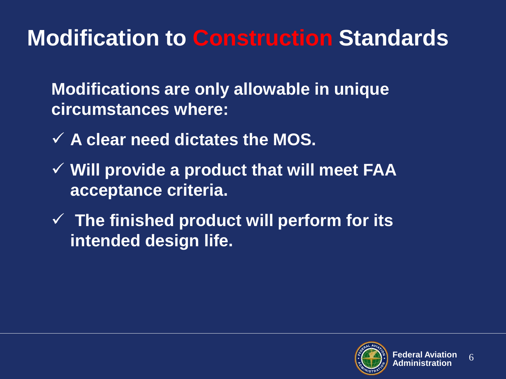**Modifications are only allowable in unique circumstances where:**

- **A clear need dictates the MOS.**
- **Will provide a product that will meet FAA acceptance criteria.**

 **The finished product will perform for its intended design life.**

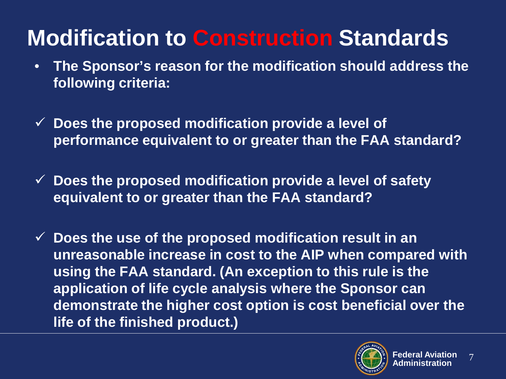- **The Sponsor's reason for the modification should address the following criteria:**
- **Does the proposed modification provide a level of performance equivalent to or greater than the FAA standard?**
- **Does the proposed modification provide a level of safety equivalent to or greater than the FAA standard?**
- **Does the use of the proposed modification result in an unreasonable increase in cost to the AIP when compared with using the FAA standard. (An exception to this rule is the application of life cycle analysis where the Sponsor can demonstrate the higher cost option is cost beneficial over the life of the finished product.)**

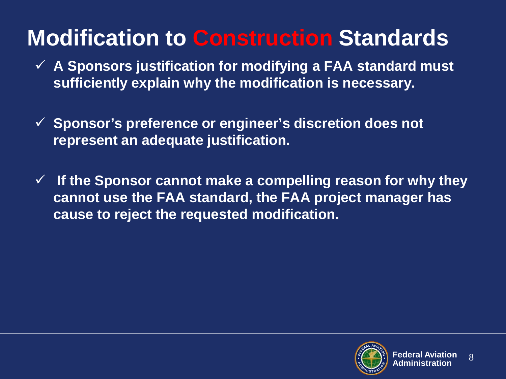- **A Sponsors justification for modifying a FAA standard must sufficiently explain why the modification is necessary.**
- **Sponsor's preference or engineer's discretion does not represent an adequate justification.**
- **If the Sponsor cannot make a compelling reason for why they cannot use the FAA standard, the FAA project manager has cause to reject the requested modification.**

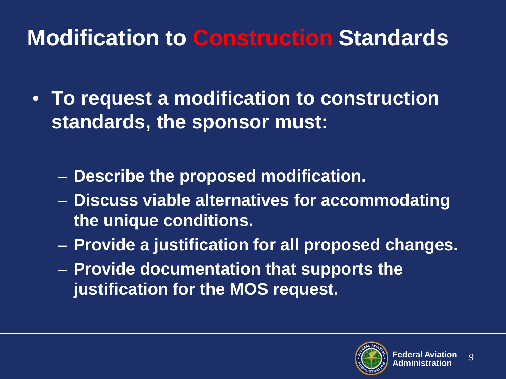- **To request a modification to construction standards, the sponsor must:**
	- **Describe the proposed modification.**
	- **Discuss viable alternatives for accommodating the unique conditions.**
	- **Provide a justification for all proposed changes.**
	- **Provide documentation that supports the justification for the MOS request.**

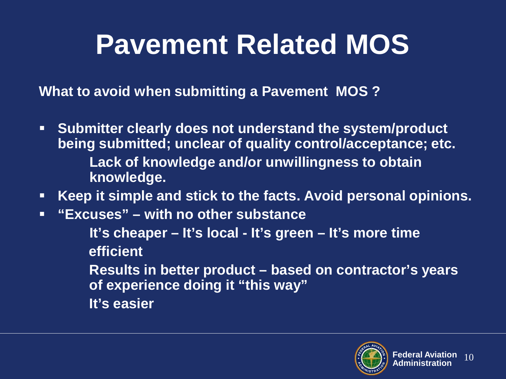# **Pavement Related MOS**

**What to avoid when submitting a Pavement MOS ?**

- **Submitter clearly does not understand the system/product being submitted; unclear of quality control/acceptance; etc. Lack of knowledge and/or unwillingness to obtain knowledge.**
- **Keep it simple and stick to the facts. Avoid personal opinions.**
- **"Excuses" – with no other substance**

**It's cheaper – It's local - It's green – It's more time** 

 **efficient**

**Results in better product – based on contractor's years of experience doing it "this way"** 

**It's easier** 

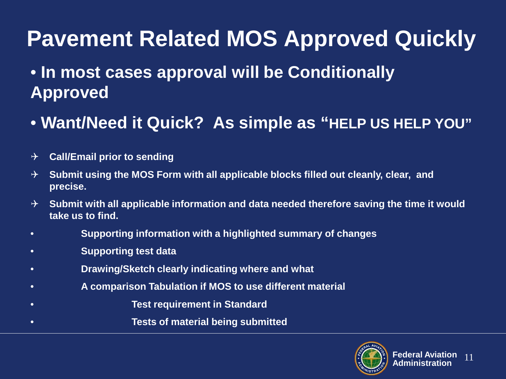### **Pavement Related MOS Approved Quickly**

#### • **In most cases approval will be Conditionally Approved**

- **Want/Need it Quick? As simple as "HELP US HELP YOU"**
- **Call/Email prior to sending**
- **Bubmit using the MOS Form with all applicable blocks filled out cleanly, clear, and precise.**
- **Bubmit with all applicable information and data needed therefore saving the time it would take us to find.**
- **Supporting information with a highlighted summary of changes**
- **Supporting test data**
- **Drawing/Sketch clearly indicating where and what**
- **A comparison Tabulation if MOS to use different material**
- **Test requirement in Standard**
- **Tests of material being submitted**

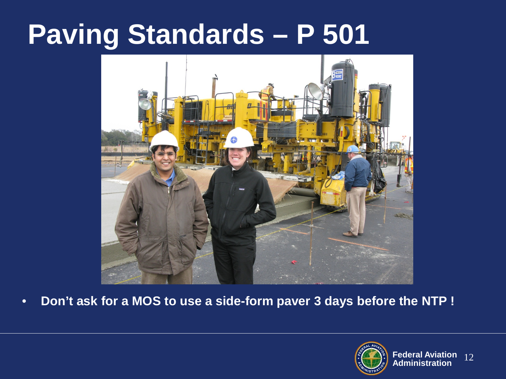## **Paving Standards – P 501**



• **Don't ask for a MOS to use a side-form paver 3 days before the NTP !**

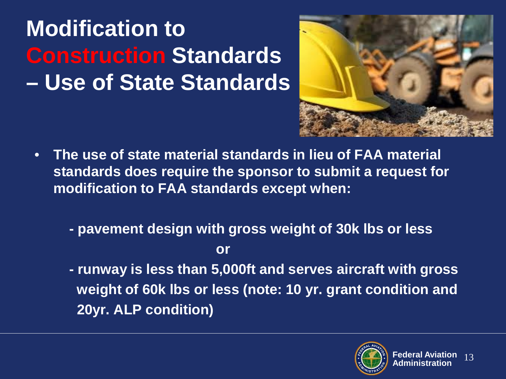### **Modification to Construction Standards – Use of State Standards**



- **The use of state material standards in lieu of FAA material standards does require the sponsor to submit a request for modification to FAA standards except when:**
	- **- pavement design with gross weight of 30k lbs or less**

#### *or the contract of the contract of the contract of the contract of the contract of the contract of the contract of the contract of the contract of the contract of the contract of the contract of the contract of the cont*

 **- runway is less than 5,000ft and serves aircraft with gross weight of 60k lbs or less (note: 10 yr. grant condition and 20yr. ALP condition)**

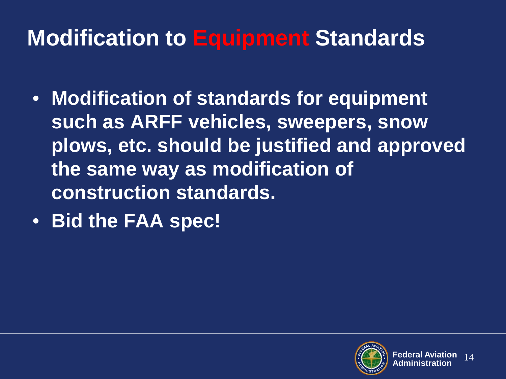#### **Modification to Equipment Standards**

- **Modification of standards for equipment such as ARFF vehicles, sweepers, snow plows, etc. should be justified and approved the same way as modification of construction standards.**
- **Bid the FAA spec!**